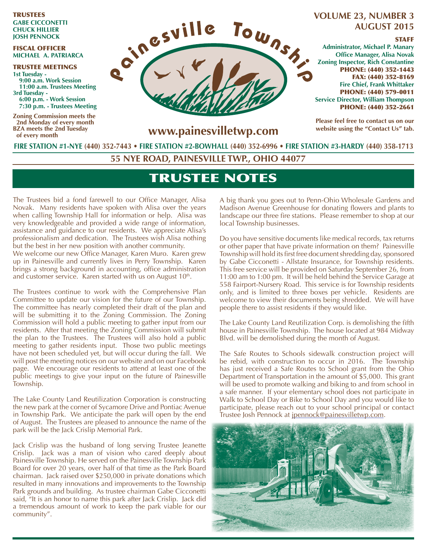TRUSTEES **GABE CICCONETTI CHUCK HILLIER JOSH PENNOCK**

#### FISCAL OFFICER **MICHAEL A. PATRIARCA**

TRUSTEE MEETINGS **1st Tuesday - 9:00 a.m. Work Session 11:00 a.m. Trustees Meeting 3rd Tuesday - 6:00 p.m. - Work Session 7:30 p.m. - Trustees Meeting** 

**Zoning Commission meets the 2nd Monday of every month BZA meets the 2nd Tuesday of every month**



### **VOLUME 23, NUMBER 3 AUGUST 2015**

#### **STAFF**

**Administrator, Michael P. Manary Office Manager, Alisa Novak Zoning Inspector, Rich Constantine** PHONE: (440) 352-1443 FAX: (440) 352-8169 **Fire Chief, Frank Whittaker** PHONE: (440) 579-0011 **Service Director, William Thompson** PHONE: (440) 352-2661

**Please feel free to contact us on our website using the "Contact Us" tab.**

**www.painesvilletwp.com**

**FIRE STATION #1-NYE (440) 352-7443** • **FIRE STATION #2-BOWHALL (440) 352-6996 • FIRE STATION #3-HARDY (440) 358-1713**

**55 NYE ROAD, PAINESVILLE TWP., OHIO 44077**

# TRUSTEE NOTES

The Trustees bid a fond farewell to our Office Manager, Alisa Novak. Many residents have spoken with Alisa over the years when calling Township Hall for information or help. Alisa was very knowledgeable and provided a wide range of information, assistance and guidance to our residents. We appreciate Alisa's professionalism and dedication. The Trustees wish Alisa nothing but the best in her new position with another community.

We welcome our new Office Manager, Karen Muro. Karen grew up in Painesville and currently lives in Perry Township. Karen brings a strong background in accounting, office administration and customer service. Karen started with us on August  $10<sup>th</sup>$ .

The Trustees continue to work with the Comprehensive Plan Committee to update our vision for the future of our Township. The committee has nearly completed their draft of the plan and will be submitting it to the Zoning Commission. The Zoning Commission will hold a public meeting to gather input from our residents. After that meeting the Zoning Commission will submit the plan to the Trustees. The Trustees will also hold a public meeting to gather residents input. Those two public meetings have not been scheduled yet, but will occur during the fall. We will post the meeting notices on our website and on our Facebook page. We encourage our residents to attend at least one of the public meetings to give your input on the future of Painesville Township.

The Lake County Land Reutilization Corporation is constructing the new park at the corner of Sycamore Drive and Pontiac Avenue in Township Park. We anticipate the park will open by the end of August. The Trustees are pleased to announce the name of the park will be the Jack Crislip Memorial Park.

Jack Crislip was the husband of long serving Trustee Jeanette Crislip. Jack was a man of vision who cared deeply about Painesville Township. He served on the Painesville Township Park Board for over 20 years, over half of that time as the Park Board chairman. Jack raised over \$250,000 in private donations which resulted in many innovations and improvements to the Township Park grounds and building. As trustee chairman Gabe Cicconetti said, "It is an honor to name this park after Jack Crislip. Jack did a tremendous amount of work to keep the park viable for our community".

A big thank you goes out to Penn-Ohio Wholesale Gardens and Madison Avenue Greenhouse for donating flowers and plants to landscape our three fire stations. Please remember to shop at our local Township businesses.

Do you have sensitive documents like medical records, tax returns or other paper that have private information on them? Painesville Township will hold its first free document shredding day, sponsored by Gabe Cicconetti - Allstate Insurance, for Township residents. This free service will be provided on Saturday September 26, from 11:00 am to 1:00 pm. It will be held behind the Service Garage at 558 Fairport-Nursery Road. This service is for Township residents only, and is limited to three boxes per vehicle. Residents are welcome to view their documents being shredded. We will have people there to assist residents if they would like.

The Lake County Land Reutilization Corp. is demolishing the fifth house in Painesville Township. The house located at 984 Midway Blvd. will be demolished during the month of August.

The Safe Routes to Schools sidewalk construction project will be rebid, with construction to occur in 2016. The Township has just received a Safe Routes to School grant from the Ohio Department of Transportation in the amount of \$5,000. This grant will be used to promote walking and biking to and from school in a safe manner. If your elementary school does not participate in Walk to School Day or Bike to School Day and you would like to participate, please reach out to your school principal or contact Trustee Josh Pennock at jpennock@painesvilletwp.com.